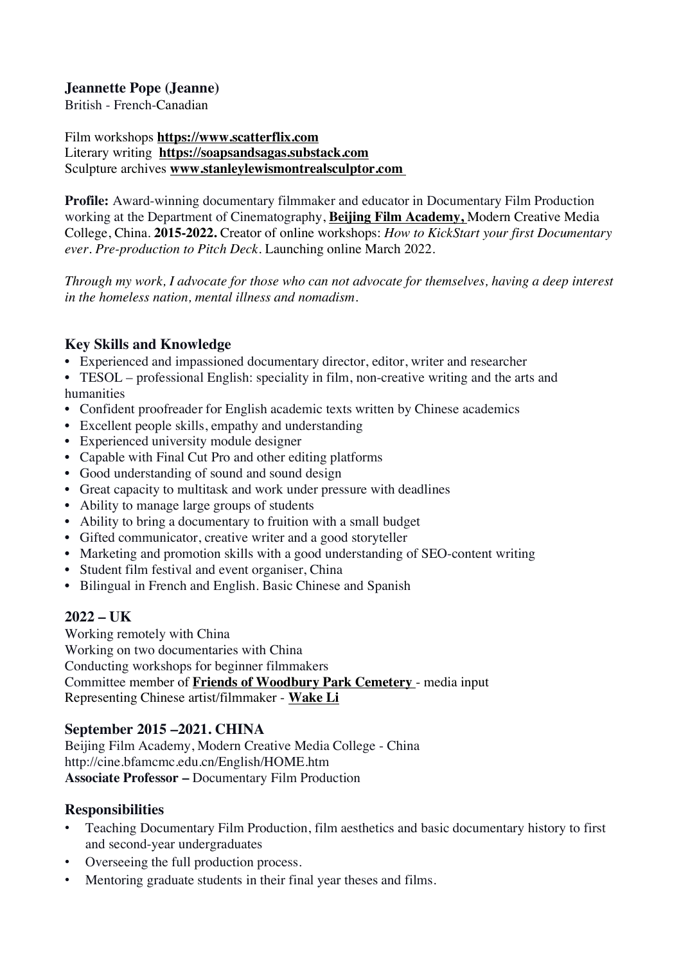## **Jeannette Pope (Jeanne)**

British - French-Canadian

Film workshops **https://www.scatterflix.com** Literary writing **https://soapsandsagas.substack.com** Sculpture archives **www.stanleylewismontrealsculptor.com**

**Profile:** Award-winning documentary filmmaker and educator in Documentary Film Production working at the Department of Cinematography, **Beijing Film Academy,** Modern Creative Media College, China. **2015-2022.** Creator of online workshops: *How to KickStart your first Documentary ever. Pre-production to Pitch Deck.* Launching online March 2022.

*Through my work, I advocate for those who can not advocate for themselves, having a deep interest in the homeless nation, mental illness and nomadism.*

## **Key Skills and Knowledge**

• Experienced and impassioned documentary director, editor, writer and researcher

• TESOL – professional English: speciality in film, non-creative writing and the arts and humanities

- Confident proofreader for English academic texts written by Chinese academics
- Excellent people skills, empathy and understanding
- Experienced university module designer
- Capable with Final Cut Pro and other editing platforms
- Good understanding of sound and sound design
- Great capacity to multitask and work under pressure with deadlines
- Ability to manage large groups of students
- Ability to bring a documentary to fruition with a small budget
- Gifted communicator, creative writer and a good storyteller
- Marketing and promotion skills with a good understanding of SEO-content writing
- Student film festival and event organiser, China
- Bilingual in French and English. Basic Chinese and Spanish

# **2022 – UK**

Working remotely with China Working on two documentaries with China Conducting workshops for beginner filmmakers Committee member of **Friends of Woodbury Park Cemetery** - media input Representing Chinese artist/filmmaker - **Wake Li**

# **September 2015 –2021. CHINA**

Beijing Film Academy, Modern Creative Media College - China http://cine.bfamcmc.edu.cn/English/HOME.htm **Associate Professor –** Documentary Film Production

# **Responsibilities**

- Teaching Documentary Film Production, film aesthetics and basic documentary history to first and second-year undergraduates
- Overseeing the full production process.
- Mentoring graduate students in their final year theses and films.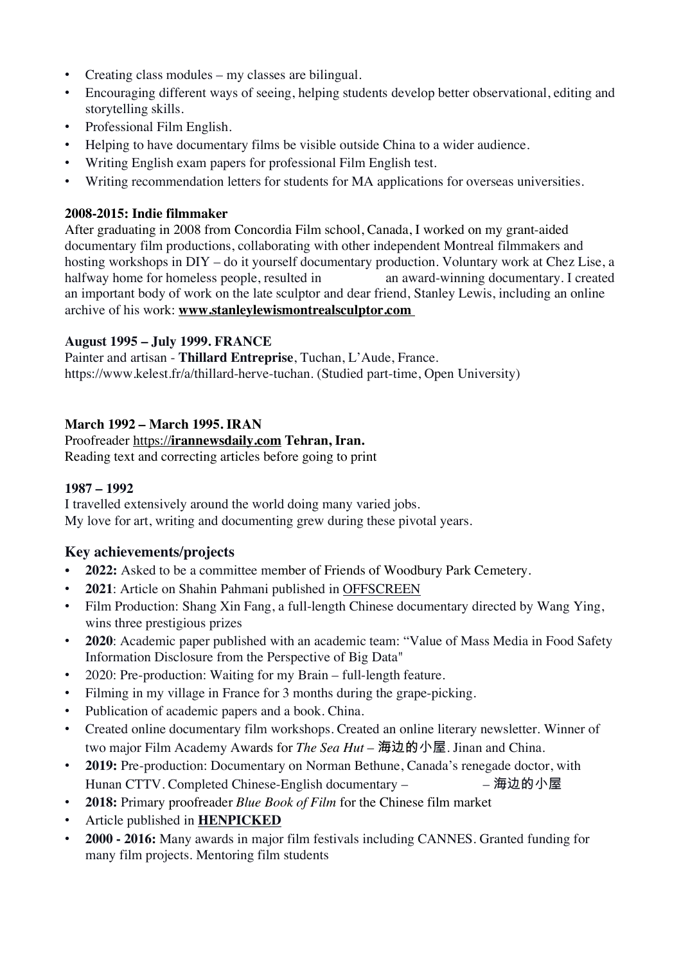- Creating class modules my classes are bilingual.
- Encouraging different ways of seeing, helping students develop better observational, editing and storytelling skills.
- Professional Film English.
- Helping to have documentary films be visible outside China to a wider audience.
- Writing English exam papers for professional Film English test.
- Writing recommendation letters for students for MA applications for overseas universities.

## **2008-2015: Indie filmmaker**

After graduating in 2008 from Concordia Film school, Canada, I worked on my grant-aided documentary film productions, collaborating with other independent Montreal filmmakers and hosting workshops in DIY – do it yourself documentary production. Voluntary work at Chez Lise, a halfway home for homeless people, resulted in an award-winning documentary. I created an important body of work on the late sculptor and dear friend, Stanley Lewis, including an online archive of his work: **www.stanleylewismontrealsculptor.com**

## **August 1995 – July 1999. FRANCE**

Painter and artisan - **Thillard Entreprise**, Tuchan, L'Aude, France. https://www.kelest.fr/a/thillard-herve-tuchan. (Studied part-time, Open University)

## **March 1992 – March 1995. IRAN**

#### Proofreader https://**irannewsdaily.com Tehran, Iran.**

Reading text and correcting articles before going to print

#### **1987 – 1992**

I travelled extensively around the world doing many varied jobs. My love for art, writing and documenting grew during these pivotal years.

# **Key achievements/projects**

- **2022:** Asked to be a committee member of Friends of Woodbury Park Cemetery.
- **2021**: Article on Shahin Pahmani published in OFFSCREEN
- Film Production: Shang Xin Fang, a full-length Chinese documentary directed by Wang Ying, wins three prestigious prizes
- **2020**: Academic paper published with an academic team: "Value of Mass Media in Food Safety Information Disclosure from the Perspective of Big Data"
- 2020: Pre-production: Waiting for my Brain full-length feature.
- Filming in my village in France for 3 months during the grape-picking.
- Publication of academic papers and a book. China.
- Created online documentary film workshops. Created an online literary newsletter. Winner of two major Film Academy Awards for *The Sea Hut* – 海边的小屋. Jinan and China.
- **2019:** Pre-production: Documentary on Norman Bethune, Canada's renegade doctor, with Hunan CTTV. Completed Chinese-English documentary – – – 海边的小屋
- **2018:** Primary proofreader *Blue Book of Film* for the Chinese film market
- Article published in **HENPICKED**
- **2000 - 2016:** Many awards in major film festivals including CANNES. Granted funding for many film projects. Mentoring film students